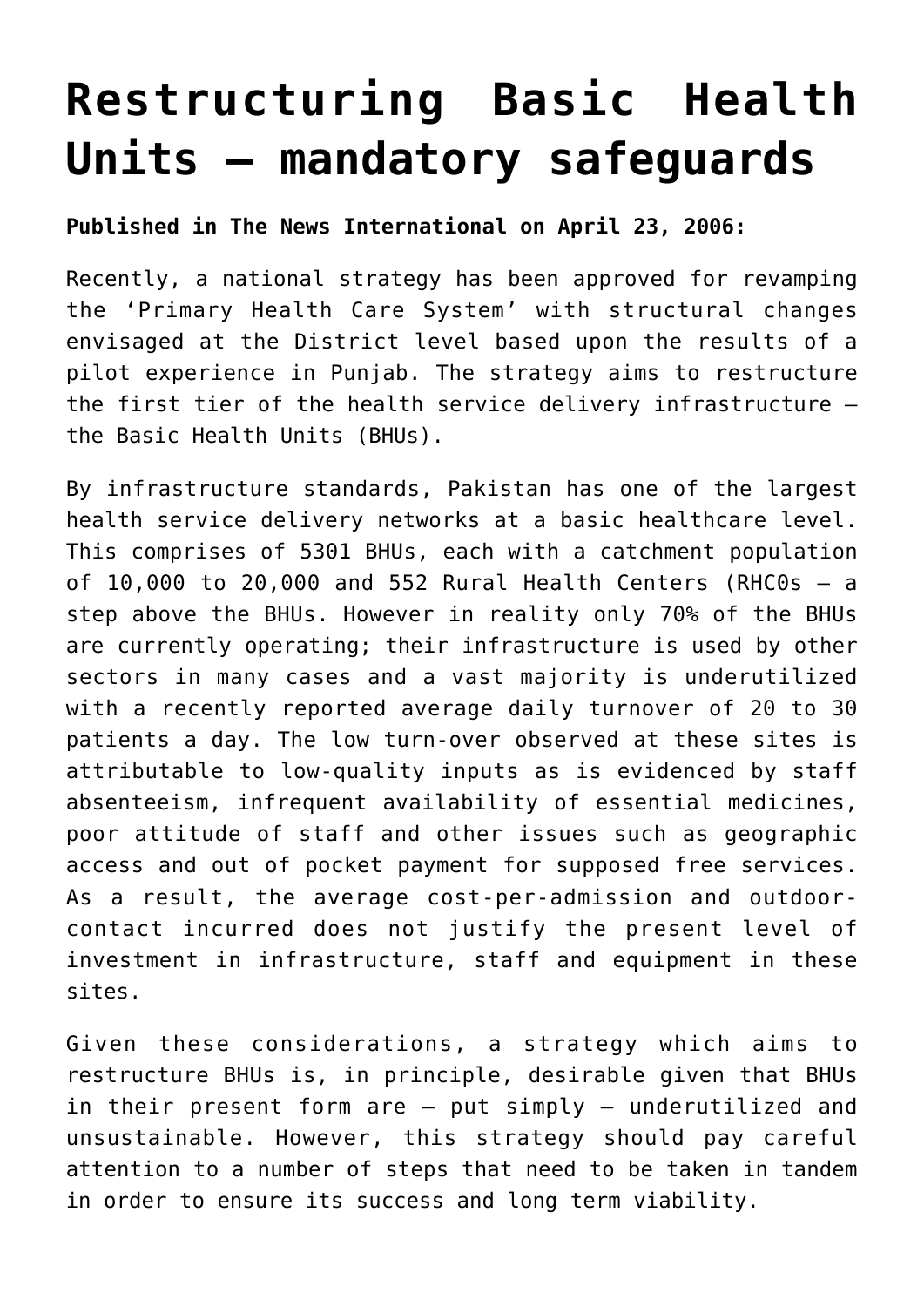## **[Restructuring Basic Health](http://www.heartfile.org/viewpoint-5-restructuring-basic-health-units-mandatory-safeguards/) [Units – mandatory safeguards](http://www.heartfile.org/viewpoint-5-restructuring-basic-health-units-mandatory-safeguards/)**

**Published in The News International on April 23, 2006:**

Recently, a national strategy has been approved for revamping the 'Primary Health Care System' with structural changes envisaged at the District level based upon the results of a pilot experience in Punjab. The strategy aims to restructure the first tier of the health service delivery infrastructure – the Basic Health Units (BHUs).

By infrastructure standards, Pakistan has one of the largest health service delivery networks at a basic healthcare level. This comprises of 5301 BHUs, each with a catchment population of 10,000 to 20,000 and 552 Rural Health Centers (RHC0s – a step above the BHUs. However in reality only 70% of the BHUs are currently operating; their infrastructure is used by other sectors in many cases and a vast majority is underutilized with a recently reported average daily turnover of 20 to 30 patients a day. The low turn-over observed at these sites is attributable to low-quality inputs as is evidenced by staff absenteeism, infrequent availability of essential medicines, poor attitude of staff and other issues such as geographic access and out of pocket payment for supposed free services. As a result, the average cost-per-admission and outdoorcontact incurred does not justify the present level of investment in infrastructure, staff and equipment in these sites.

Given these considerations, a strategy which aims to restructure BHUs is, in principle, desirable given that BHUs in their present form are – put simply – underutilized and unsustainable. However, this strategy should pay careful attention to a number of steps that need to be taken in tandem in order to ensure its success and long term viability.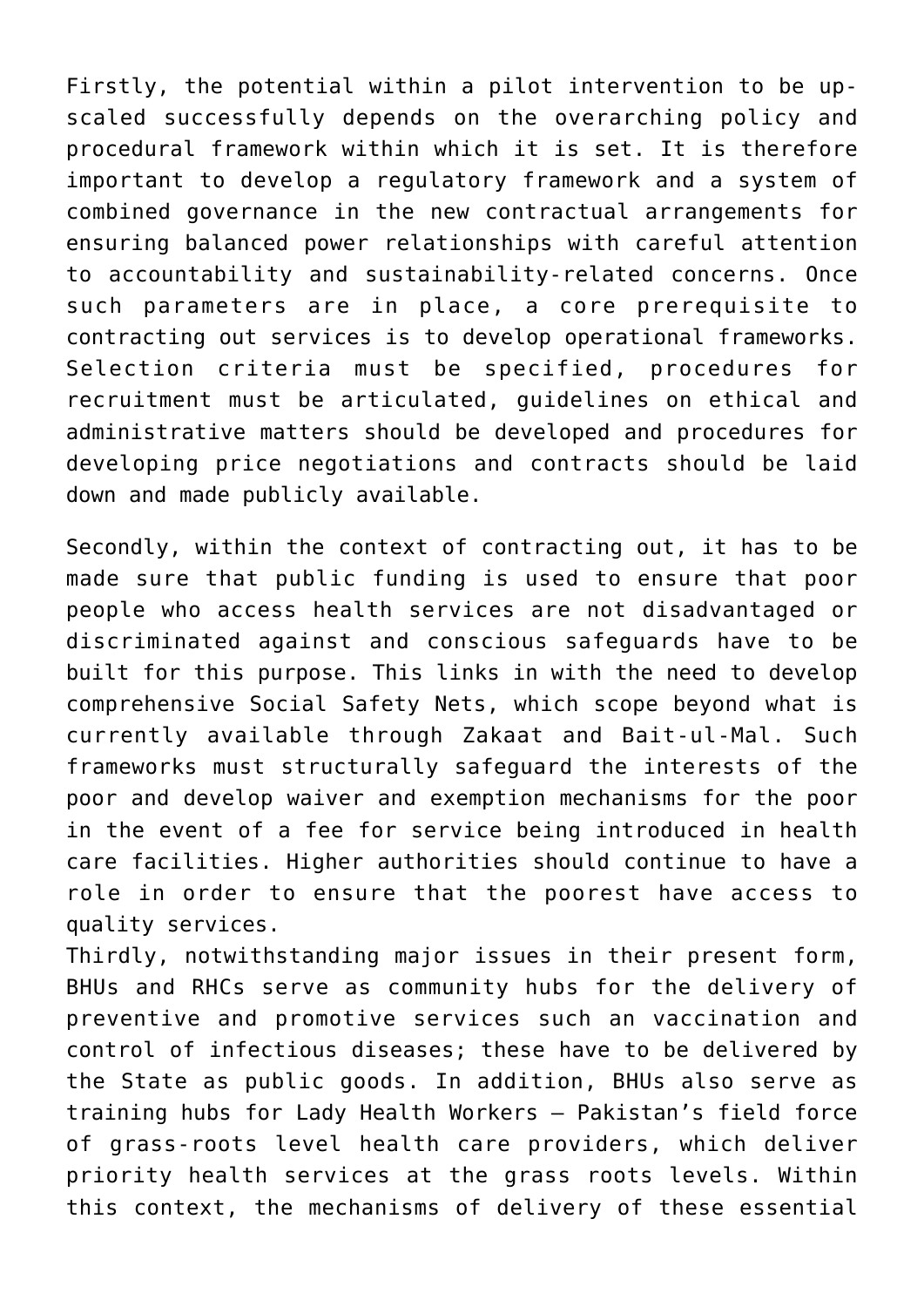Firstly, the potential within a pilot intervention to be upscaled successfully depends on the overarching policy and procedural framework within which it is set. It is therefore important to develop a regulatory framework and a system of combined governance in the new contractual arrangements for ensuring balanced power relationships with careful attention to accountability and sustainability-related concerns. Once such parameters are in place, a core prerequisite to contracting out services is to develop operational frameworks. Selection criteria must be specified, procedures for recruitment must be articulated, guidelines on ethical and administrative matters should be developed and procedures for developing price negotiations and contracts should be laid down and made publicly available.

Secondly, within the context of contracting out, it has to be made sure that public funding is used to ensure that poor people who access health services are not disadvantaged or discriminated against and conscious safeguards have to be built for this purpose. This links in with the need to develop comprehensive Social Safety Nets, which scope beyond what is currently available through Zakaat and Bait-ul-Mal. Such frameworks must structurally safeguard the interests of the poor and develop waiver and exemption mechanisms for the poor in the event of a fee for service being introduced in health care facilities. Higher authorities should continue to have a role in order to ensure that the poorest have access to quality services.

Thirdly, notwithstanding major issues in their present form, BHUs and RHCs serve as community hubs for the delivery of preventive and promotive services such an vaccination and control of infectious diseases; these have to be delivered by the State as public goods. In addition, BHUs also serve as training hubs for Lady Health Workers – Pakistan's field force of grass-roots level health care providers, which deliver priority health services at the grass roots levels. Within this context, the mechanisms of delivery of these essential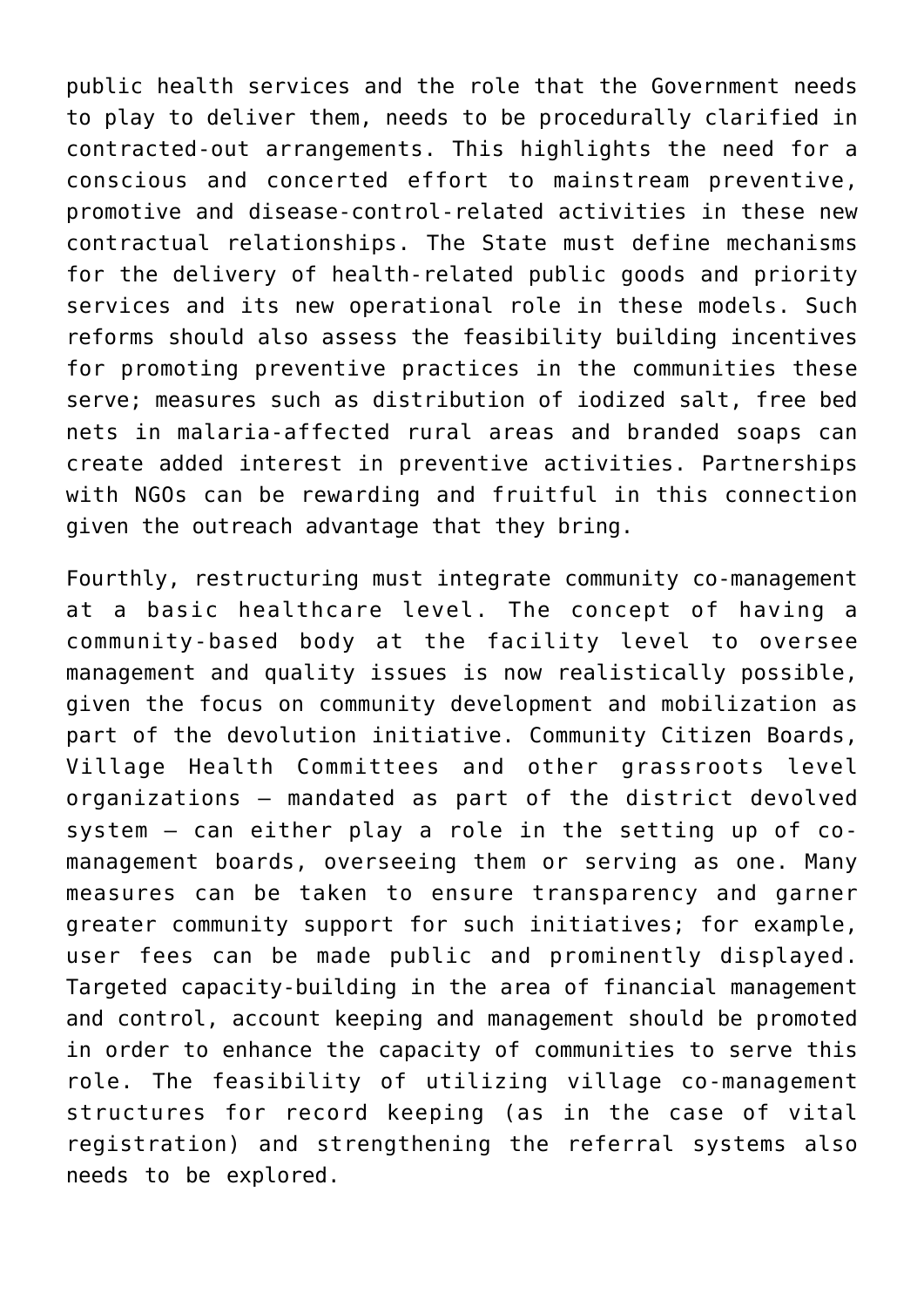public health services and the role that the Government needs to play to deliver them, needs to be procedurally clarified in contracted-out arrangements. This highlights the need for a conscious and concerted effort to mainstream preventive, promotive and disease-control-related activities in these new contractual relationships. The State must define mechanisms for the delivery of health-related public goods and priority services and its new operational role in these models. Such reforms should also assess the feasibility building incentives for promoting preventive practices in the communities these serve; measures such as distribution of iodized salt, free bed nets in malaria-affected rural areas and branded soaps can create added interest in preventive activities. Partnerships with NGOs can be rewarding and fruitful in this connection given the outreach advantage that they bring.

Fourthly, restructuring must integrate community co-management at a basic healthcare level. The concept of having a community-based body at the facility level to oversee management and quality issues is now realistically possible, given the focus on community development and mobilization as part of the devolution initiative. Community Citizen Boards, Village Health Committees and other grassroots level organizations – mandated as part of the district devolved system – can either play a role in the setting up of comanagement boards, overseeing them or serving as one. Many measures can be taken to ensure transparency and garner greater community support for such initiatives; for example, user fees can be made public and prominently displayed. Targeted capacity-building in the area of financial management and control, account keeping and management should be promoted in order to enhance the capacity of communities to serve this role. The feasibility of utilizing village co-management structures for record keeping (as in the case of vital registration) and strengthening the referral systems also needs to be explored.